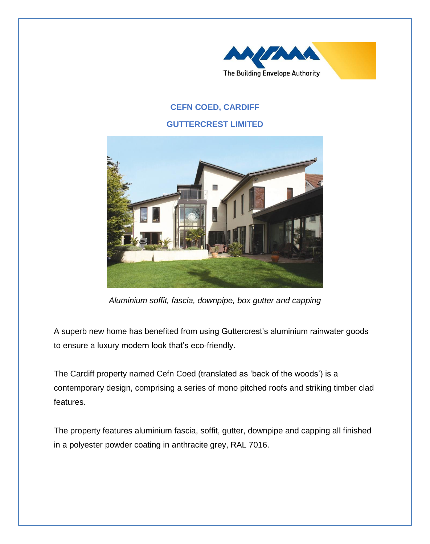

# **CEFN COED, CARDIFF**

### **GUTTERCREST LIMITED**



*Aluminium soffit, fascia, downpipe, box gutter and capping*

A superb new home has benefited from using Guttercrest's aluminium rainwater goods to ensure a luxury modern look that's eco-friendly.

The Cardiff property named Cefn Coed (translated as 'back of the woods') is a contemporary design, comprising a series of mono pitched roofs and striking timber clad features.

The property features aluminium fascia, soffit, gutter, downpipe and capping all finished in a polyester powder coating in anthracite grey, RAL 7016.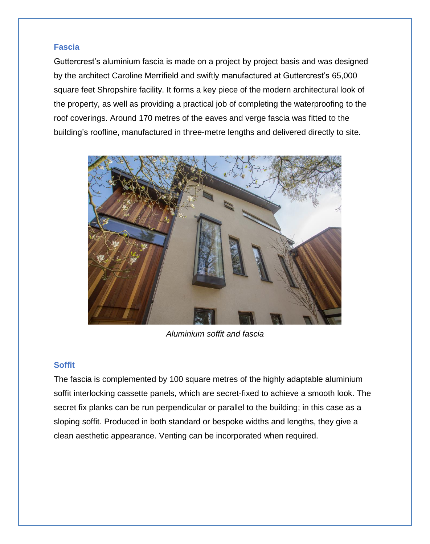## **Fascia**

Guttercrest's aluminium fascia is made on a project by project basis and was designed by the architect Caroline Merrifield and swiftly manufactured at Guttercrest's 65,000 square feet Shropshire facility. It forms a key piece of the modern architectural look of the property, as well as providing a practical job of completing the waterproofing to the roof coverings. Around 170 metres of the eaves and verge fascia was fitted to the building's roofline, manufactured in three-metre lengths and delivered directly to site.



*Aluminium soffit and fascia*

#### **Soffit**

The fascia is complemented by 100 square metres of the highly adaptable aluminium soffit interlocking cassette panels, which are secret-fixed to achieve a smooth look. The secret fix planks can be run perpendicular or parallel to the building; in this case as a sloping soffit. Produced in both standard or bespoke widths and lengths, they give a clean aesthetic appearance. Venting can be incorporated when required.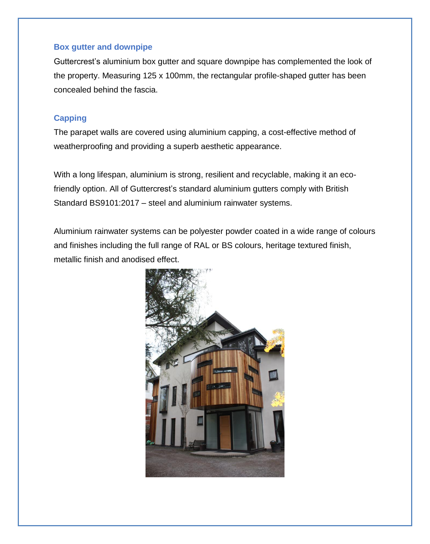### **Box gutter and downpipe**

Guttercrest's aluminium box gutter and square downpipe has complemented the look of the property. Measuring 125 x 100mm, the rectangular profile-shaped gutter has been concealed behind the fascia.

#### **Capping**

The parapet walls are covered using aluminium capping, a cost-effective method of weatherproofing and providing a superb aesthetic appearance.

With a long lifespan, aluminium is strong, resilient and recyclable, making it an ecofriendly option. All of Guttercrest's standard aluminium gutters comply with British Standard BS9101:2017 – steel and aluminium rainwater systems.

Aluminium rainwater systems can be polyester powder coated in a wide range of colours and finishes including the full range of RAL or BS colours, heritage textured finish, metallic finish and anodised effect.